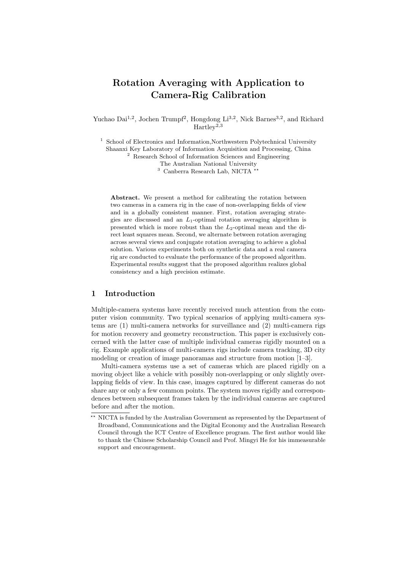# Rotation Averaging with Application to Camera-Rig Calibration

Yuchao Dai<sup>1,2</sup>, Jochen Trumpf<sup>2</sup>, Hongdong Li<sup>3,2</sup>, Nick Barnes<sup>3,2</sup>, and Richard  $Hartlev^{2,3}$ 

<sup>1</sup> School of Electronics and Information,Northwestern Polytechnical University Shaanxi Key Laboratory of Information Acquisition and Processing, China <sup>2</sup> Research School of Information Sciences and Engineering

The Australian National University

 $3$  Canberra Research Lab, NICTA  $^{3}$ 

Abstract. We present a method for calibrating the rotation between two cameras in a camera rig in the case of non-overlapping fields of view and in a globally consistent manner. First, rotation averaging strategies are discussed and an  $L_1$ -optimal rotation averaging algorithm is presented which is more robust than the  $L_2$ -optimal mean and the direct least squares mean. Second, we alternate between rotation averaging across several views and conjugate rotation averaging to achieve a global solution. Various experiments both on synthetic data and a real camera rig are conducted to evaluate the performance of the proposed algorithm. Experimental results suggest that the proposed algorithm realizes global consistency and a high precision estimate.

# 1 Introduction

Multiple-camera systems have recently received much attention from the computer vision community. Two typical scenarios of applying multi-camera systems are (1) multi-camera networks for surveillance and (2) multi-camera rigs for motion recovery and geometry reconstruction. This paper is exclusively concerned with the latter case of multiple individual cameras rigidly mounted on a rig. Example applications of multi-camera rigs include camera tracking, 3D city modeling or creation of image panoramas and structure from motion [1–3].

Multi-camera systems use a set of cameras which are placed rigidly on a moving object like a vehicle with possibly non-overlapping or only slightly overlapping fields of view. In this case, images captured by different cameras do not share any or only a few common points. The system moves rigidly and correspondences between subsequent frames taken by the individual cameras are captured before and after the motion.

<sup>&</sup>lt;sup>\*\*</sup> NICTA is funded by the Australian Government as represented by the Department of Broadband, Communications and the Digital Economy and the Australian Research Council through the ICT Centre of Excellence program. The first author would like to thank the Chinese Scholarship Council and Prof. Mingyi He for his immeasurable support and encouragement.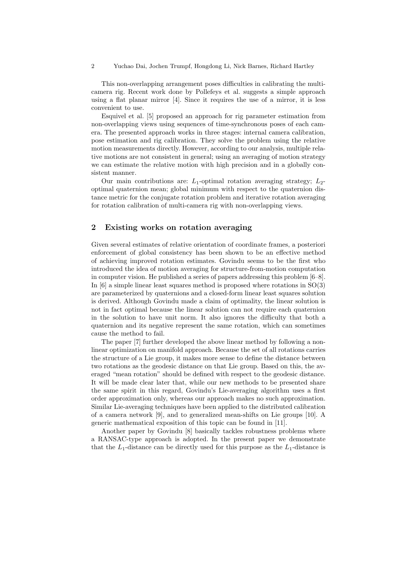2 Yuchao Dai, Jochen Trumpf, Hongdong Li, Nick Barnes, Richard Hartley

This non-overlapping arrangement poses difficulties in calibrating the multicamera rig. Recent work done by Pollefeys et al. suggests a simple approach using a flat planar mirror [4]. Since it requires the use of a mirror, it is less convenient to use.

Esquivel et al. [5] proposed an approach for rig parameter estimation from non-overlapping views using sequences of time-synchronous poses of each camera. The presented approach works in three stages: internal camera calibration, pose estimation and rig calibration. They solve the problem using the relative motion measurements directly. However, according to our analysis, multiple relative motions are not consistent in general; using an averaging of motion strategy we can estimate the relative motion with high precision and in a globally consistent manner.

Our main contributions are:  $L_1$ -optimal rotation averaging strategy;  $L_2$ optimal quaternion mean; global minimum with respect to the quaternion distance metric for the conjugate rotation problem and iterative rotation averaging for rotation calibration of multi-camera rig with non-overlapping views.

# 2 Existing works on rotation averaging

Given several estimates of relative orientation of coordinate frames, a posteriori enforcement of global consistency has been shown to be an effective method of achieving improved rotation estimates. Govindu seems to be the first who introduced the idea of motion averaging for structure-from-motion computation in computer vision. He published a series of papers addressing this problem [6–8]. In  $[6]$  a simple linear least squares method is proposed where rotations in  $SO(3)$ are parameterized by quaternions and a closed-form linear least squares solution is derived. Although Govindu made a claim of optimality, the linear solution is not in fact optimal because the linear solution can not require each quaternion in the solution to have unit norm. It also ignores the difficulty that both a quaternion and its negative represent the same rotation, which can sometimes cause the method to fail.

The paper [7] further developed the above linear method by following a nonlinear optimization on manifold approach. Because the set of all rotations carries the structure of a Lie group, it makes more sense to define the distance between two rotations as the geodesic distance on that Lie group. Based on this, the averaged "mean rotation" should be defined with respect to the geodesic distance. It will be made clear later that, while our new methods to be presented share the same spirit in this regard, Govindu's Lie-averaging algorithm uses a first order approximation only, whereas our approach makes no such approximation. Similar Lie-averaging techniques have been applied to the distributed calibration of a camera network [9], and to generalized mean-shifts on Lie groups [10]. A generic mathematical exposition of this topic can be found in [11].

Another paper by Govindu [8] basically tackles robustness problems where a RANSAC-type approach is adopted. In the present paper we demonstrate that the  $L_1$ -distance can be directly used for this purpose as the  $L_1$ -distance is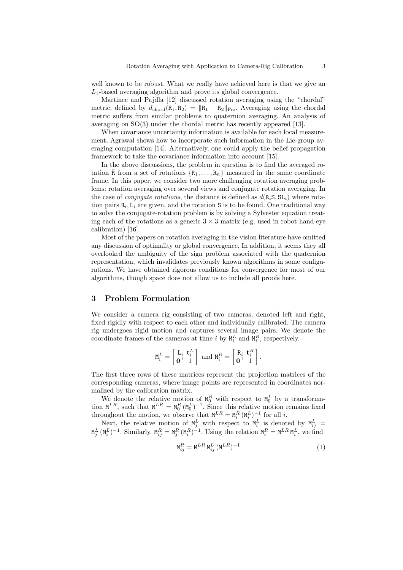well known to be robust. What we really have achieved here is that we give an  $L_1$ -based averaging algorithm and prove its global convergence.

Martinec and Pajdla [12] discussed rotation averaging using the "chordal" metric, defined by  $d_{chord}(R_1, R_2) = ||R_1 - R_2||_{Fro}$ . Averaging using the chordal metric suffers from similar problems to quaternion averaging. An analysis of averaging on SO(3) under the chordal metric has recently appeared [13].

When covariance uncertainty information is available for each local measurement, Agrawal shows how to incorporate such information in the Lie-group averaging computation [14]. Alternatively, one could apply the belief propagation framework to take the covariance information into account [15].

In the above discussions, the problem in question is to find the averaged rotation  $\bar{R}$  from a set of rotations  $\{R_1,\ldots,R_n\}$  measured in the same coordinate frame. In this paper, we consider two more challenging rotation averaging problems: rotation averaging over several views and conjugate rotation averaging. In the case of *conjugate rotations*, the distance is defined as  $d(R_iS, SL_i)$  where rotation pairs  $R_i, L_i$  are given, and the rotation S is to be found. One traditional way to solve the conjugate-rotation problem is by solving a Sylvester equation treating each of the rotations as a generic  $3 \times 3$  matrix (e.g. used in robot hand-eye calibration) [16].

Most of the papers on rotation averaging in the vision literature have omitted any discussion of optimality or global convergence. In addition, it seems they all overlooked the ambiguity of the sign problem associated with the quaternion representation, which invalidates previously known algorithms in some configurations. We have obtained rigorous conditions for convergence for most of our algorithms, though space does not allow us to include all proofs here.

# 3 Problem Formulation

We consider a camera rig consisting of two cameras, denoted left and right, fixed rigidly with respect to each other and individually calibrated. The camera rig undergoes rigid motion and captures several image pairs. We denote the coordinate frames of the cameras at time *i* by  $M_i^L$  and  $M_i^R$ , respectively.

$$
\mathtt{M}_i^L = \begin{bmatrix} \mathtt{L}_i & \mathbf{t}_i^L \\ \mathbf{0}^\top & 1 \end{bmatrix} \text{ and } \mathtt{M}_i^R = \begin{bmatrix} \mathtt{R}_i & \mathbf{t}_i^R \\ \mathbf{0}^\top & 1 \end{bmatrix}.
$$

The first three rows of these matrices represent the projection matrices of the corresponding cameras, where image points are represented in coordinates normalized by the calibration matrix.

We denote the relative motion of  $M_0^R$  with respect to  $M_0^L$  by a transformation  $\mathbf{M}^{LR}$ , such that  $\mathbf{M}^{LR} = \mathbf{M}_0^R (\mathbf{M}_0^L)^{-1}$ . Since this relative motion remains fixed throughout the motion, we observe that  $M^{LR} = M_i^R (M_i^L)^{-1}$  for all *i*.

Next, the relative motion of  $M_j^L$  with respect to  $M_i^L$  is denoted by  $M_{ij}^L$  =  $\mathbf{M}_j^L$  ( $\mathbf{M}_i^L$ )<sup>-1</sup>. Similarly,  $\mathbf{M}_{ij}^R = \mathbf{M}_j^R$  ( $\mathbf{M}_i^R$ )<sup>-1</sup>. Using the relation  $\mathbf{M}_i^R = \mathbf{M}^{LR} \mathbf{M}_i^L$ , we find

$$
M_{ij}^R = M^{LR} M_{ij}^L (M^{LR})^{-1}
$$
\n
$$
\tag{1}
$$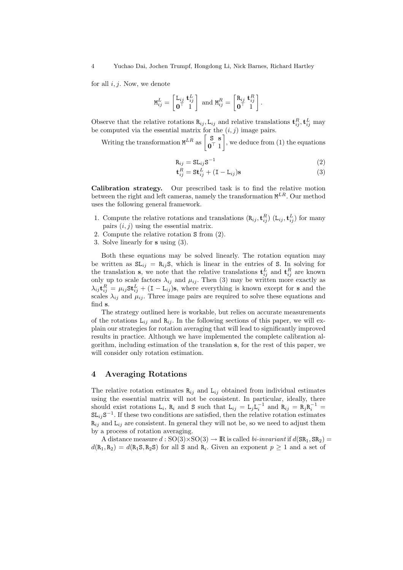for all  $i, j$ . Now, we denote

$$
\mathtt{M}_{ij}^L = \begin{bmatrix} \mathtt{L}_{ij} & \mathtt{t}_{ij}^L \\ \mathbf{0}^\top & 1 \end{bmatrix} \text{ and } \mathtt{M}_{ij}^R = \begin{bmatrix} \mathtt{R}_{ij} & \mathtt{t}_{ij}^R \\ \mathbf{0}^\top & 1 \end{bmatrix}.
$$

Observe that the relative rotations  $\mathbf{R}_{ij}$ ,  $\mathbf{L}_{ij}$  and relative translations  $\mathbf{t}_{ij}^R$ ,  $\mathbf{t}_{ij}^L$  may be computed via the essential matrix for the  $(i, j)$  image pairs.

Writing the transformation  $M^{LR}$  as  $\begin{bmatrix} S & S \\ 0 & 1 \end{bmatrix}$  $\mathbf{0}^{\top}$  1 ¸ , we deduce from (1) the equations

$$
\mathbf{R}_{ij} = \mathbf{S} \mathbf{L}_{ij} \mathbf{S}^{-1} \tag{2}
$$

$$
\mathbf{t}_{ij}^R = \mathbf{S} \mathbf{t}_{ij}^L + (\mathbf{I} - \mathbf{L}_{ij}) \mathbf{s}
$$
 (3)

Calibration strategy. Our prescribed task is to find the relative motion between the right and left cameras, namely the transformation  $\mathbf{M}^{LR}$ . Our method uses the following general framework.

- 1. Compute the relative rotations and translations  $(R_{ij}, \mathbf{t}_{ij}^R)$   $(L_{ij}, \mathbf{t}_{ij}^L)$  for many pairs  $(i, j)$  using the essential matrix.
- 2. Compute the relative rotation S from (2).
- 3. Solve linearly for s using (3).

Both these equations may be solved linearly. The rotation equation may be written as  $SL_{ij} = R_{ij}S$ , which is linear in the entries of S. In solving for the translation s, we note that the relative translations  $\mathbf{t}_{ij}^L$  and  $\mathbf{t}_{ij}^R$  are known only up to scale factors  $\lambda_{ij}$  and  $\mu_{ij}$ . Then (3) may be written more exactly as  $\lambda_{ij}$ **t** ${}_{ij}^R = \mu_{ij}$ **St** ${}_{ij}^L + (I - L_{ij})$ **s**, where everything is known except for **s** and the scales  $\lambda_{ij}$  and  $\mu_{ij}$ . Three image pairs are required to solve these equations and find s.

The strategy outlined here is workable, but relies on accurate measurements of the rotations  $L_{ij}$  and  $R_{ij}$ . In the following sections of this paper, we will explain our strategies for rotation averaging that will lead to significantly improved results in practice. Although we have implemented the complete calibration algorithm, including estimation of the translation s, for the rest of this paper, we will consider only rotation estimation.

## 4 Averaging Rotations

The relative rotation estimates  $\mathbf{R}_{ij}$  and  $\mathbf{L}_{ij}$  obtained from individual estimates using the essential matrix will not be consistent. In particular, ideally, there should exist rotations L<sub>i</sub>, R<sub>i</sub> and S such that L<sub>ij</sub> = L<sub>j</sub>L<sub>i</sub><sup>-1</sup></sub> and R<sub>ij</sub> = R<sub>j</sub>R<sub>i</sub><sup>-1</sup> =  $SL_{ij}S^{-1}$ . If these two conditions are satisfied, then the relative rotation estimates  $R_{ij}$  and  $L_{ij}$  are consistent. In general they will not be, so we need to adjust them by a process of rotation averaging.

A distance measure  $d : SO(3) \times SO(3) \rightarrow \mathbb{R}$  is called bi-invariant if  $d(SR_1, SR_2) =$  $d(R_1, R_2) = d(R_1, R_2, S)$  for all S and  $R_i$ . Given an exponent  $p \geq 1$  and a set of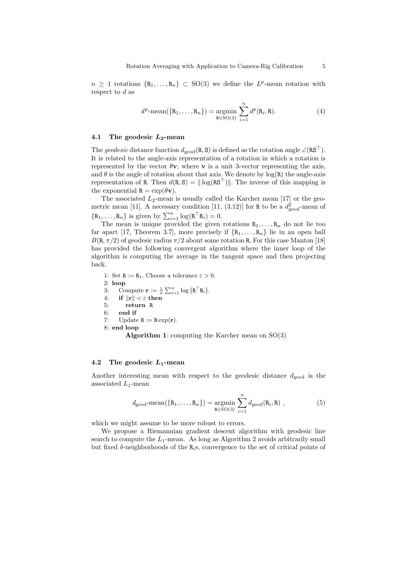$n \geq 1$  rotations  $\{R_1, \ldots, R_n\} \subset SO(3)$  we define the  $L^p$ -mean rotation with respect to  $d$  as

$$
d^{\mathrm{p}}\text{-}\mathrm{mean}(\{\mathrm{R}_1,\ldots,\mathrm{R}_n\}) = \underset{\mathrm{R}\in\mathrm{SO}(3)}{\mathrm{argmin}} \sum_{i=1}^n d^p(\mathrm{R}_i,\mathrm{R}).\tag{4}
$$

## 4.1 The geodesic  $L_2$ -mean

The geodesic distance function  $d_{\text{geod}}(R, S)$  is defined as the rotation angle  $\angle(RS^{\top})$ . It is related to the angle-axis representation of a rotation in which a rotation is represented by the vector  $\theta v$ , where v is a unit 3-vector representing the axis, and  $\theta$  is the angle of rotation about that axis. We denote by  $log(R)$  the angle-axis representation of R. Then  $d(R, S) = ||log(RS<sup>T</sup>)||$ . The inverse of this mapping is the exponential  $\mathbf{R} = \exp(\theta \mathbf{v}).$ 

The associated  $L_2$ -mean is usually called the Karcher mean [17] or the geometric mean [11]. A necessary condition [11, (3.12)] for R to be a  $d_{\text{geod}}^2$ -mean of  $\{R_1, \ldots, R_n\}$  is given by  $\sum_{i=1}^n \log(R^\top R_i) = 0$ .

The mean is unique provided the given rotations  $R_1, \ldots, R_n$  do not lie too far apart [17, Theorem 3.7], more precisely if  $\{R_1,\ldots,R_n\}$  lie in an open ball  $B(R, \pi/2)$  of geodesic radius  $\pi/2$  about some rotation R. For this case Manton [18] has provided the following convergent algorithm where the inner loop of the algorithm is computing the average in the tangent space and then projecting back.

1: Set  $R := R_1$ . Choose a tolerance  $\varepsilon > 0$ . 2: loop 3: Compute  $\mathbf{r} := \frac{1}{n} \sum_{i=1}^{n} \log (\mathbf{R}^{\top} \mathbf{R}_{i}).$ 4: if  $\|\mathbf{r}\| < \varepsilon$  then 5: return R 6: end if 7: Update  $R := R \exp(r)$ . 8: end loop

**Algorithm 1:** computing the Karcher mean on  $SO(3)$ 

#### 4.2 The geodesic  $L_1$ -mean

Another interesting mean with respect to the geodesic distance  $d_{\text{geod}}$  is the associated  $L_1$ -mean

$$
d_{\text{geod}} - \text{mean}(\{R_1, \dots, R_n\}) = \underset{R \in \text{SO}(3)}{\text{argmin}} \sum_{i=1}^n d_{\text{geod}}(R_i, R) , \qquad (5)
$$

which we might assume to be more robust to errors.

We propose a Riemannian gradient descent algorithm with geodesic line search to compute the  $L_1$ -mean. As long as Algorithm 2 avoids arbitrarily small but fixed  $\delta$ -neighborhoods of the  $R_i$ s, convergence to the set of critical points of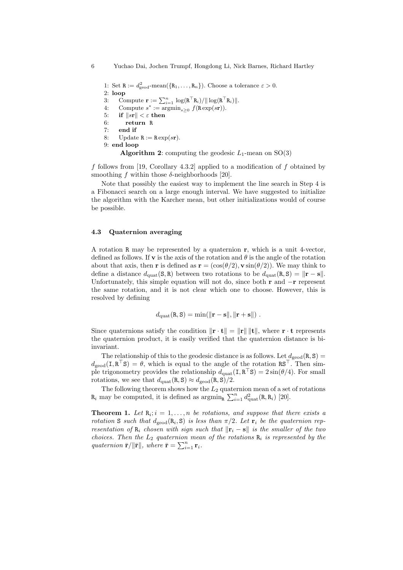1: Set  $R := d_{\text{geod}}^2$ -mean({ $R_1, \ldots, R_n$ }). Choose a tolerance  $\varepsilon > 0$ . 2: loop 3: Compute  $\mathbf{r} := \sum_{i=1}^n \log(\mathbf{R}^\top \mathbf{R}_i) / || \log(\mathbf{R}^\top \mathbf{R}_i) ||$ . 4: Compute  $s^* := \overline{\text{argmin}}_{s \geq 0} f(\text{R} \exp(s\textbf{r})).$ 5: if  $||s\mathbf{r}|| < \varepsilon$  then 6: return R 7: end if 8: Update  $R := R \exp(s \mathbf{r}).$ 9: end loop **Algorithm 2:** computing the geodesic  $L_1$ -mean on  $SO(3)$ 

f follows from [19, Corollary 4.3.2] applied to a modification of  $f$  obtained by smoothing f within those  $\delta$ -neighborhoods [20].

Note that possibly the easiest way to implement the line search in Step 4 is a Fibonacci search on a large enough interval. We have suggested to initialize the algorithm with the Karcher mean, but other initializations would of course be possible.

## 4.3 Quaternion averaging

A rotation R may be represented by a quaternion r, which is a unit 4-vector, defined as follows. If **v** is the axis of the rotation and  $\theta$  is the angle of the rotation about that axis, then **r** is defined as **r** =  $(\cos(\theta/2), \mathbf{v} \sin(\theta/2))$ . We may think to define a distance  $d_{\text{quat}}(S, R)$  between two rotations to be  $d_{\text{quat}}(R, S) = ||\mathbf{r} - \mathbf{s}||$ . Unfortunately, this simple equation will not do, since both  $\mathbf r$  and  $-\mathbf r$  represent the same rotation, and it is not clear which one to choose. However, this is resolved by defining

$$
d_{\rm{quat}}(\mathbf{R}, \mathbf{S}) = \min(\|\mathbf{r} - \mathbf{s}\|, \|\mathbf{r} + \mathbf{s}\|) .
$$

Since quaternions satisfy the condition  $\|\mathbf{r} \cdot \mathbf{t}\| = \|\mathbf{r}\| \|\mathbf{t}\|$ , where  $\mathbf{r} \cdot \mathbf{t}$  represents the quaternion product, it is easily verified that the quaternion distance is biinvariant.

The relationship of this to the geodesic distance is as follows. Let  $d_{\text{geod}}(R, S)$  =  $d_{\text{geod}}(I, R^{\top}S) = \theta$ , which is equal to the angle of the rotation  $RS^{\top}$ . Then simple trigonometry provides the relationship  $d_{\text{quad}}(I, R^{\top}S) = 2\sin(\theta/4)$ . For small rotations, we see that  $d_{\text{quat}}(R, S) \approx d_{\text{geod}}(R, S)/2$ .

The following theorem shows how the  $L_2$  quaternion mean of a set of rotations  $\mathbf{R}_i$  may be computed, it is defined as  $\operatorname{argmin}_{\mathbf{R}} \sum_{i=1}^n d_{\text{quat}}^2(\mathbf{R}, \mathbf{R}_i)$  [20].

**Theorem 1.** Let  $\mathbf{R}_i$ ;  $i = 1, ..., n$  be rotations, and suppose that there exists a rotation S such that  $d_{\text{geod}}(R_i, S)$  is less than  $\pi/2$ . Let  $\mathbf{r}_i$  be the quaternion representation of  $R_i$  chosen with sign such that  $\|\mathbf{r}_i - \mathbf{s}\|$  is the smaller of the two choices. Then the  $L_2$  quaternion mean of the rotations  $\mathbf{R}_i$  is represented by the quaternion  $\bar{\mathbf{r}}/\|\bar{\mathbf{r}}\|$ , where  $\bar{\mathbf{r}} = \sum_{i=1}^{n} \mathbf{r}_i$ .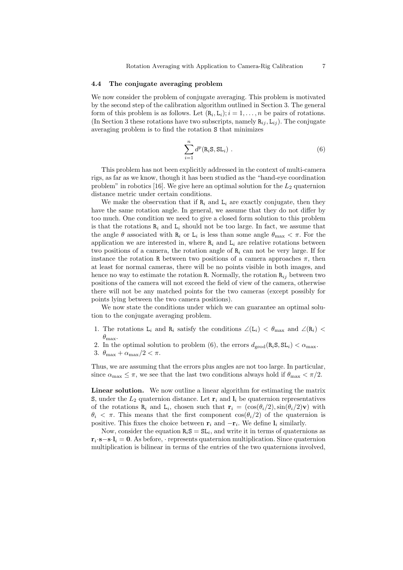#### 4.4 The conjugate averaging problem

We now consider the problem of conjugate averaging. This problem is motivated by the second step of the calibration algorithm outlined in Section 3. The general form of this problem is as follows. Let  $(R_i, L_i); i = 1, ..., n$  be pairs of rotations. (In Section 3 these rotations have two subscripts, namely  $\mathbf{R}_{ij}$ ,  $\mathbf{L}_{ij}$ ). The conjugate averaging problem is to find the rotation S that minimizes

$$
\sum_{i=1}^{n} d^{p}(\mathbf{R}_{i}\mathbf{S}, \mathbf{SL}_{i}) . \qquad (6)
$$

This problem has not been explicitly addressed in the context of multi-camera rigs, as far as we know, though it has been studied as the "hand-eye coordination problem" in robotics [16]. We give here an optimal solution for the  $L_2$  quaternion distance metric under certain conditions.

We make the observation that if  $\mathbb{R}_i$  and  $\mathbb{L}_i$  are exactly conjugate, then they have the same rotation angle. In general, we assume that they do not differ by too much. One condition we need to give a closed form solution to this problem is that the rotations  $R_i$  and  $L_i$  should not be too large. In fact, we assume that the angle  $\theta$  associated with  $R_i$  or  $L_i$  is less than some angle  $\theta_{\text{max}} < \pi$ . For the application we are interested in, where  $R_i$  and  $L_i$  are relative rotations between two positions of a camera, the rotation angle of  $\mathbb{R}_i$  can not be very large. If for instance the rotation R between two positions of a camera approaches  $\pi$ , then at least for normal cameras, there will be no points visible in both images, and hence no way to estimate the rotation R. Normally, the rotation  $R_{ij}$  between two positions of the camera will not exceed the field of view of the camera, otherwise there will not be any matched points for the two cameras (except possibly for points lying between the two camera positions).

We now state the conditions under which we can guarantee an optimal solution to the conjugate averaging problem.

- 1. The rotations L<sub>i</sub> and R<sub>i</sub> satisfy the conditions  $\angle(L_i) < \theta_{\text{max}}$  and  $\angle(R_i)$  $\theta_{\text{max}}$ .
- 2. In the optimal solution to problem (6), the errors  $d_{\text{geod}}(R_i, S, SL_i) < \alpha_{\text{max}}$ .
- 3.  $\theta_{\text{max}} + \alpha_{\text{max}}/2 < \pi$ .

Thus, we are assuming that the errors plus angles are not too large. In particular, since  $\alpha_{\text{max}} \leq \pi$ , we see that the last two conditions always hold if  $\theta_{\text{max}} < \pi/2$ .

Linear solution. We now outline a linear algorithm for estimating the matrix S, under the  $L_2$  quaternion distance. Let  $\mathbf{r}_i$  and  $\mathbf{l}_i$  be quaternion representatives of the rotations  $\mathbf{R}_i$  and  $\mathbf{L}_i$ , chosen such that  $\mathbf{r}_i = (\cos(\theta_i/2), \sin(\theta_i/2)\mathbf{v})$  with  $\theta_i < \pi$ . This means that the first component  $\cos(\theta_i/2)$  of the quaternion is positive. This fixes the choice between  $\mathbf{r}_i$  and  $-\mathbf{r}_i$ . We define  $\mathbf{l}_i$  similarly.

Now, consider the equation  $R_iS = SL_i$ , and write it in terms of quaternions as  $\mathbf{r}_i \cdot \mathbf{s} - \mathbf{s} \cdot \mathbf{l}_i = \mathbf{0}$ . As before,  $\cdot$  represents quaternion multiplication. Since quaternion multiplication is bilinear in terms of the entries of the two quaternions involved,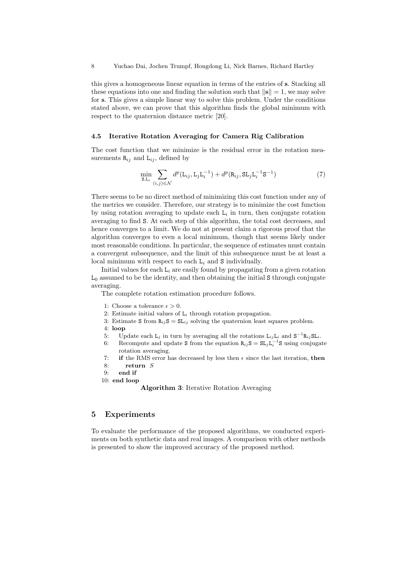this gives a homogeneous linear equation in terms of the entries of s. Stacking all these equations into one and finding the solution such that  $\|s\| = 1$ , we may solve for s. This gives a simple linear way to solve this problem. Under the conditions stated above, we can prove that this algorithm finds the global minimum with respect to the quaternion distance metric [20].

#### 4.5 Iterative Rotation Averaging for Camera Rig Calibration

The cost function that we minimize is the residual error in the rotation measurements  $\mathbf{R}_{ij}$  and  $\mathbf{L}_{ij}$ , defined by

$$
\min_{\mathbf{S}, \mathbf{L}_i} \sum_{(i,j) \in \mathcal{N}} d^p(\mathbf{L}_{ij}, \mathbf{L}_j \mathbf{L}_i^{-1}) + d^p(\mathbf{R}_{ij}, \mathbf{S} \mathbf{L}_j \mathbf{L}_i^{-1} \mathbf{S}^{-1})
$$
\n(7)

There seems to be no direct method of minimizing this cost function under any of the metrics we consider. Therefore, our strategy is to minimize the cost function by using rotation averaging to update each  $L_i$  in turn, then conjugate rotation averaging to find S. At each step of this algorithm, the total cost decreases, and hence converges to a limit. We do not at present claim a rigorous proof that the algorithm converges to even a local minimum, though that seems likely under most reasonable conditions. In particular, the sequence of estimates must contain a convergent subsequence, and the limit of this subsequence must be at least a local minimum with respect to each  $L_i$  and  $S$  individually.

Initial values for each  $L_i$  are easily found by propagating from a given rotation  $L_0$  assumed to be the identity, and then obtaining the initial S through conjugate averaging.

The complete rotation estimation procedure follows.

- 1: Choose a tolerance  $\epsilon > 0$ .
- 2: Estimate initial values of  $L_i$  through rotation propagation.
- 3: Estimate S from  $R_{ij}S = SL_{ij}$  solving the quaternion least squares problem.
- 4: loop
- 5: Update each  $L_j$  in turn by averaging all the rotations  $L_{ij}L_i$  and  $S^{-1}R_{ij}SL_i$ .
- 6: Recompute and update S from the equation  $R_{ij}S = SL_jL_i^{-1}S$  using conjugate rotation averaging.
- 7: if the RMS error has decreased by less then  $\epsilon$  since the last iteration, then
- 8: return S
- 9: end if
- 10: end loop

Algorithm 3: Iterative Rotation Averaging

# 5 Experiments

To evaluate the performance of the proposed algorithms, we conducted experiments on both synthetic data and real images. A comparison with other methods is presented to show the improved accuracy of the proposed method.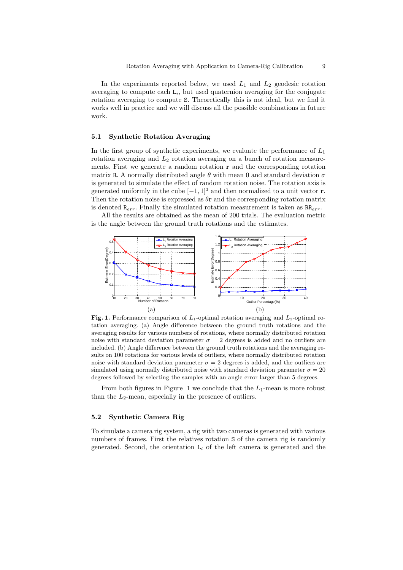In the experiments reported below, we used  $L_1$  and  $L_2$  geodesic rotation averaging to compute each  $L_i$ , but used quaternion averaging for the conjugate rotation averaging to compute S. Theoretically this is not ideal, but we find it works well in practice and we will discuss all the possible combinations in future work.

## 5.1 Synthetic Rotation Averaging

In the first group of synthetic experiments, we evaluate the performance of  $L_1$ rotation averaging and  $L_2$  rotation averaging on a bunch of rotation measurements. First we generate a random rotation  $\bf{r}$  and the corresponding rotation matrix R. A normally distributed angle  $\theta$  with mean 0 and standard deviation  $\sigma$ is generated to simulate the effect of random rotation noise. The rotation axis is generated uniformly in the cube  $[-1, 1]^3$  and then normalized to a unit vector **r**. Then the rotation noise is expressed as  $\theta$ **r** and the corresponding rotation matrix is denoted  $\mathbb{R}_{err}$ . Finally the simulated rotation measurement is taken as  $\mathbb{R}_{err}$ .

All the results are obtained as the mean of 200 trials. The evaluation metric is the angle between the ground truth rotations and the estimates.



Fig. 1. Performance comparison of  $L_1$ -optimal rotation averaging and  $L_2$ -optimal rotation averaging. (a) Angle difference between the ground truth rotations and the averaging results for various numbers of rotations, where normally distributed rotation noise with standard deviation parameter  $\sigma = 2$  degrees is added and no outliers are included. (b) Angle difference between the ground truth rotations and the averaging results on 100 rotations for various levels of outliers, where normally distributed rotation noise with standard deviation parameter  $\sigma = 2$  degrees is added, and the outliers are simulated using normally distributed noise with standard deviation parameter  $\sigma = 20$ degrees followed by selecting the samples with an angle error larger than 5 degrees.

From both figures in Figure 1 we conclude that the  $L_1$ -mean is more robust than the  $L_2$ -mean, especially in the presence of outliers.

## 5.2 Synthetic Camera Rig

To simulate a camera rig system, a rig with two cameras is generated with various numbers of frames. First the relatives rotation S of the camera rig is randomly generated. Second, the orientation  $L_i$  of the left camera is generated and the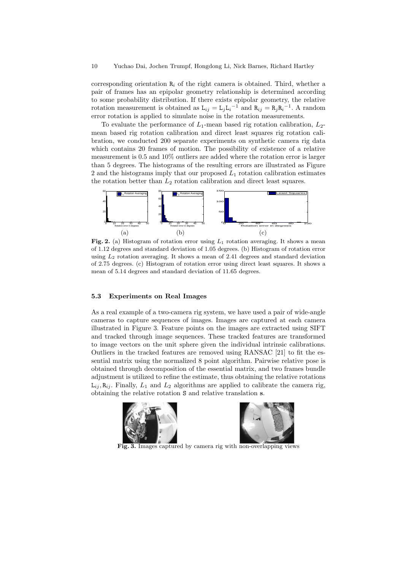corresponding orientation  $R_i$  of the right camera is obtained. Third, whether a pair of frames has an epipolar geometry relationship is determined according to some probability distribution. If there exists epipolar geometry, the relative rotation measurement is obtained as  $L_{ij} = L_j L_i^{-1}$  and  $R_{ij} = R_j R_i^{-1}$ . A random error rotation is applied to simulate noise in the rotation measurements.

To evaluate the performance of  $L_1$ -mean based rig rotation calibration,  $L_2$ mean based rig rotation calibration and direct least squares rig rotation calibration, we conducted 200 separate experiments on synthetic camera rig data which contains 20 frames of motion. The possibility of existence of a relative measurement is 0.5 and 10% outliers are added where the rotation error is larger than 5 degrees. The histograms of the resulting errors are illustrated as Figure 2 and the histograms imply that our proposed  $L_1$  rotation calibration estimates the rotation better than  $L_2$  rotation calibration and direct least squares.



Fig. 2. (a) Histogram of rotation error using  $L_1$  rotation averaging. It shows a mean of 1.12 degrees and standard deviation of 1.05 degrees. (b) Histogram of rotation error using  $L_2$  rotation averaging. It shows a mean of 2.41 degrees and standard deviation of 2.75 degrees. (c) Histogram of rotation error using direct least squares. It shows a mean of 5.14 degrees and standard deviation of 11.65 degrees.

## 5.3 Experiments on Real Images

As a real example of a two-camera rig system, we have used a pair of wide-angle cameras to capture sequences of images. Images are captured at each camera illustrated in Figure 3. Feature points on the images are extracted using SIFT and tracked through image sequences. These tracked features are transformed to image vectors on the unit sphere given the individual intrinsic calibrations. Outliers in the tracked features are removed using RANSAC [21] to fit the essential matrix using the normalized 8 point algorithm. Pairwise relative pose is obtained through decomposition of the essential matrix, and two frames bundle adjustment is utilized to refine the estimate, thus obtaining the relative rotations  $L_{ij}$ ,  $R_{ij}$ . Finally,  $L_1$  and  $L_2$  algorithms are applied to calibrate the camera rig, obtaining the relative rotation S and relative translation s.





Fig. 3. Images captured by camera rig with non-overlapping views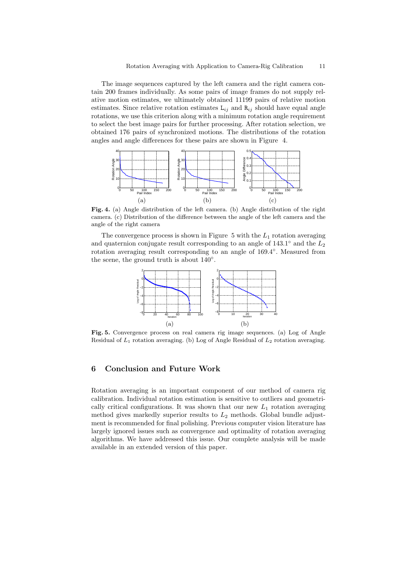The image sequences captured by the left camera and the right camera contain 200 frames individually. As some pairs of image frames do not supply relative motion estimates, we ultimately obtained 11199 pairs of relative motion estimates. Since relative rotation estimates  $L_{ij}$  and  $R_{ij}$  should have equal angle rotations, we use this criterion along with a minimum rotation angle requirement to select the best image pairs for further processing. After rotation selection, we obtained 176 pairs of synchronized motions. The distributions of the rotation angles and angle differences for these pairs are shown in Figure 4.



Fig. 4. (a) Angle distribution of the left camera. (b) Angle distribution of the right camera. (c) Distribution of the difference between the angle of the left camera and the angle of the right camera

The convergence process is shown in Figure 5 with the  $L_1$  rotation averaging and quaternion conjugate result corresponding to an angle of 143.1° and the  $L_2$ rotation averaging result corresponding to an angle of 169.4°. Measured from the scene, the ground truth is about  $140°$ .



Fig. 5. Convergence process on real camera rig image sequences. (a) Log of Angle Residual of  $L_1$  rotation averaging. (b) Log of Angle Residual of  $L_2$  rotation averaging.

# 6 Conclusion and Future Work

Rotation averaging is an important component of our method of camera rig calibration. Individual rotation estimation is sensitive to outliers and geometrically critical configurations. It was shown that our new  $L_1$  rotation averaging method gives markedly superior results to  $L_2$  methods. Global bundle adjustment is recommended for final polishing. Previous computer vision literature has largely ignored issues such as convergence and optimality of rotation averaging algorithms. We have addressed this issue. Our complete analysis will be made available in an extended version of this paper.